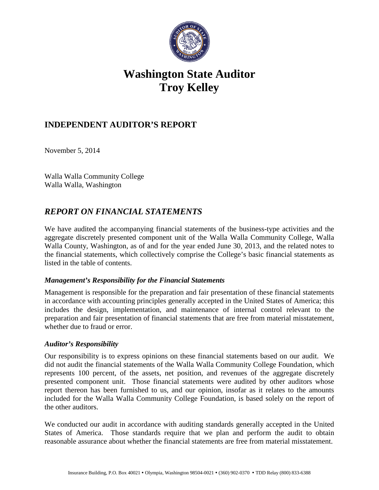

# **Washington State Auditor Troy Kelley**

## **INDEPENDENT AUDITOR'S REPORT**

November 5, 2014

Walla Walla Community College Walla Walla, Washington

## *REPORT ON FINANCIAL STATEMENTS*

We have audited the accompanying financial statements of the business-type activities and the aggregate discretely presented component unit of the Walla Walla Community College, Walla Walla County, Washington, as of and for the year ended June 30, 2013, and the related notes to the financial statements, which collectively comprise the College's basic financial statements as listed in the table of contents.

### *Management's Responsibility for the Financial Statements*

Management is responsible for the preparation and fair presentation of these financial statements in accordance with accounting principles generally accepted in the United States of America; this includes the design, implementation, and maintenance of internal control relevant to the preparation and fair presentation of financial statements that are free from material misstatement, whether due to fraud or error.

### *Auditor's Responsibility*

Our responsibility is to express opinions on these financial statements based on our audit. We did not audit the financial statements of the Walla Walla Community College Foundation, which represents 100 percent, of the assets, net position, and revenues of the aggregate discretely presented component unit. Those financial statements were audited by other auditors whose report thereon has been furnished to us, and our opinion, insofar as it relates to the amounts included for the Walla Walla Community College Foundation, is based solely on the report of the other auditors.

We conducted our audit in accordance with auditing standards generally accepted in the United States of America. Those standards require that we plan and perform the audit to obtain reasonable assurance about whether the financial statements are free from material misstatement.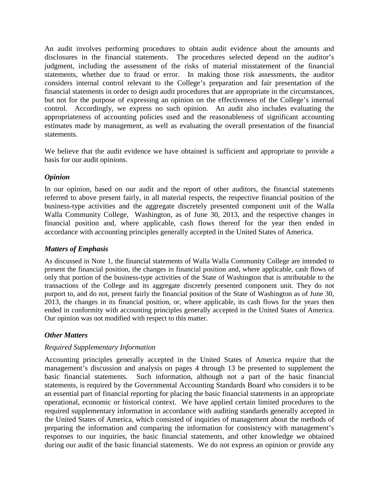An audit involves performing procedures to obtain audit evidence about the amounts and disclosures in the financial statements. The procedures selected depend on the auditor's judgment, including the assessment of the risks of material misstatement of the financial statements, whether due to fraud or error. In making those risk assessments, the auditor considers internal control relevant to the College's preparation and fair presentation of the financial statements in order to design audit procedures that are appropriate in the circumstances, but not for the purpose of expressing an opinion on the effectiveness of the College's internal control. Accordingly, we express no such opinion. An audit also includes evaluating the appropriateness of accounting policies used and the reasonableness of significant accounting estimates made by management, as well as evaluating the overall presentation of the financial statements.

We believe that the audit evidence we have obtained is sufficient and appropriate to provide a basis for our audit opinions.

#### *Opinion*

In our opinion, based on our audit and the report of other auditors, the financial statements referred to above present fairly, in all material respects, the respective financial position of the business-type activities and the aggregate discretely presented component unit of the Walla Walla Community College, Washington, as of June 30, 2013, and the respective changes in financial position and, where applicable, cash flows thereof for the year then ended in accordance with accounting principles generally accepted in the United States of America.

#### *Matters of Emphasis*

As discussed in Note 1, the financial statements of Walla Walla Community College are intended to present the financial position, the changes in financial position and, where applicable, cash flows of only that portion of the business-type activities of the State of Washington that is attributable to the transactions of the College and its aggregate discretely presented component unit. They do not purport to, and do not, present fairly the financial position of the State of Washington as of June 30, 2013, the changes in its financial position, or, where applicable, its cash flows for the years then ended in conformity with accounting principles generally accepted in the United States of America. Our opinion was not modified with respect to this matter.

### *Other Matters*

### *Required Supplementary Information*

Accounting principles generally accepted in the United States of America require that the management's discussion and analysis on pages 4 through 13 be presented to supplement the basic financial statements. Such information, although not a part of the basic financial statements, is required by the Governmental Accounting Standards Board who considers it to be an essential part of financial reporting for placing the basic financial statements in an appropriate operational, economic or historical context. We have applied certain limited procedures to the required supplementary information in accordance with auditing standards generally accepted in the United States of America, which consisted of inquiries of management about the methods of preparing the information and comparing the information for consistency with management's responses to our inquiries, the basic financial statements, and other knowledge we obtained during our audit of the basic financial statements. We do not express an opinion or provide any